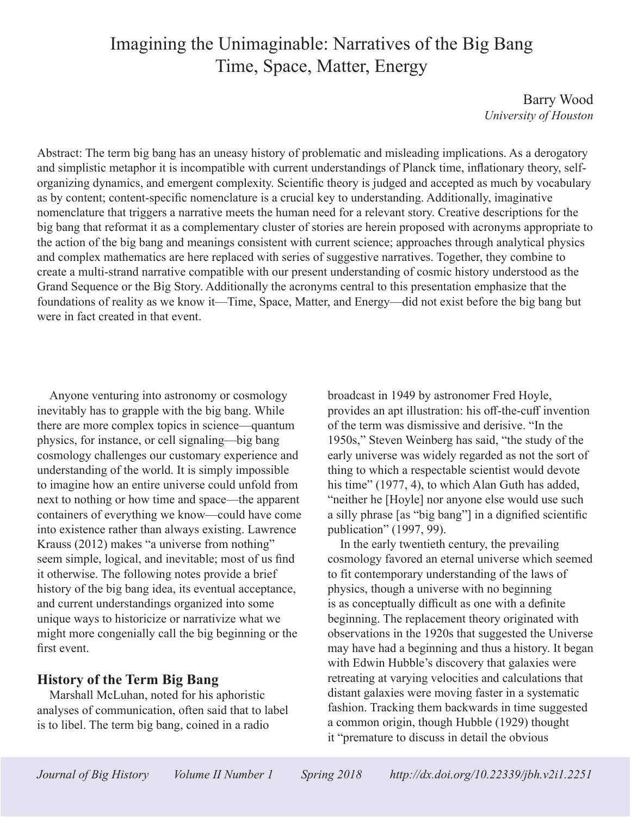# Imagining the Unimaginable: Narratives of the Big Bang Time, Space, Matter, Energy

Barry Wood *University of Houston*

Abstract: The term big bang has an uneasy history of problematic and misleading implications. As a derogatory and simplistic metaphor it is incompatible with current understandings of Planck time, inflationary theory, selforganizing dynamics, and emergent complexity. Scientific theory is judged and accepted as much by vocabulary as by content; content-specific nomenclature is a crucial key to understanding. Additionally, imaginative nomenclature that triggers a narrative meets the human need for a relevant story. Creative descriptions for the big bang that reformat it as a complementary cluster of stories are herein proposed with acronyms appropriate to the action of the big bang and meanings consistent with current science; approaches through analytical physics and complex mathematics are here replaced with series of suggestive narratives. Together, they combine to create a multi-strand narrative compatible with our present understanding of cosmic history understood as the Grand Sequence or the Big Story. Additionally the acronyms central to this presentation emphasize that the foundations of reality as we know it—Time, Space, Matter, and Energy—did not exist before the big bang but were in fact created in that event.

Anyone venturing into astronomy or cosmology inevitably has to grapple with the big bang. While there are more complex topics in science—quantum physics, for instance, or cell signaling—big bang cosmology challenges our customary experience and understanding of the world. It is simply impossible to imagine how an entire universe could unfold from next to nothing or how time and space—the apparent containers of everything we know—could have come into existence rather than always existing. Lawrence Krauss (2012) makes "a universe from nothing" seem simple, logical, and inevitable; most of us find it otherwise. The following notes provide a brief history of the big bang idea, its eventual acceptance, and current understandings organized into some unique ways to historicize or narrativize what we might more congenially call the big beginning or the first event.

#### **History of the Term Big Bang**

Marshall McLuhan, noted for his aphoristic analyses of communication, often said that to label is to libel. The term big bang, coined in a radio

broadcast in 1949 by astronomer Fred Hoyle, provides an apt illustration: his off-the-cuff invention of the term was dismissive and derisive. "In the 1950s," Steven Weinberg has said, "the study of the early universe was widely regarded as not the sort of thing to which a respectable scientist would devote his time" (1977, 4), to which Alan Guth has added, "neither he [Hoyle] nor anyone else would use such a silly phrase [as "big bang"] in a dignified scientific publication" (1997, 99).

In the early twentieth century, the prevailing cosmology favored an eternal universe which seemed to fit contemporary understanding of the laws of physics, though a universe with no beginning is as conceptually difficult as one with a definite beginning. The replacement theory originated with observations in the 1920s that suggested the Universe may have had a beginning and thus a history. It began with Edwin Hubble's discovery that galaxies were retreating at varying velocities and calculations that distant galaxies were moving faster in a systematic fashion. Tracking them backwards in time suggested a common origin, though Hubble (1929) thought it "premature to discuss in detail the obvious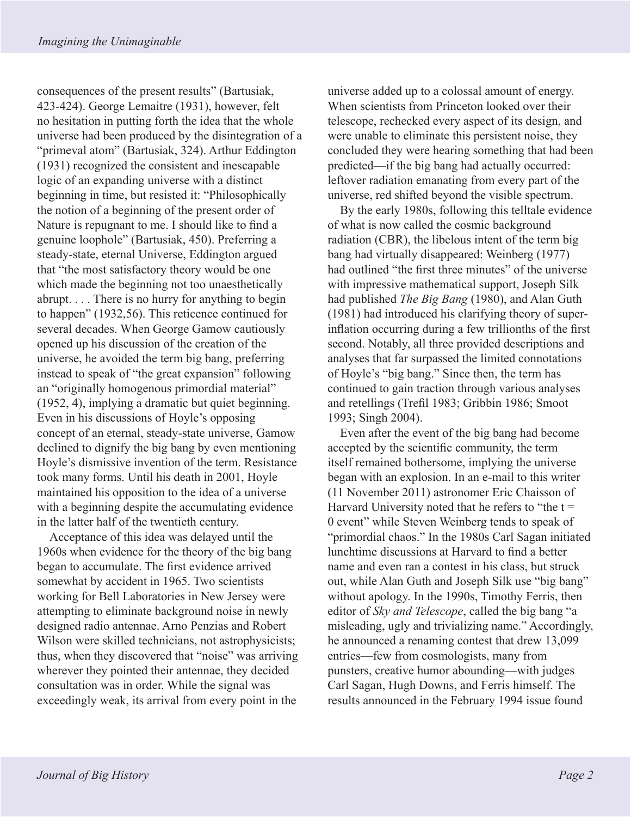consequences of the present results" (Bartusiak, 423-424). George Lemaitre (1931), however, felt no hesitation in putting forth the idea that the whole universe had been produced by the disintegration of a "primeval atom" (Bartusiak, 324). Arthur Eddington (1931) recognized the consistent and inescapable logic of an expanding universe with a distinct beginning in time, but resisted it: "Philosophically the notion of a beginning of the present order of Nature is repugnant to me. I should like to find a genuine loophole" (Bartusiak, 450). Preferring a steady-state, eternal Universe, Eddington argued that "the most satisfactory theory would be one which made the beginning not too unaesthetically abrupt. . . . There is no hurry for anything to begin to happen" (1932,56). This reticence continued for several decades. When George Gamow cautiously opened up his discussion of the creation of the universe, he avoided the term big bang, preferring instead to speak of "the great expansion" following an "originally homogenous primordial material" (1952, 4), implying a dramatic but quiet beginning. Even in his discussions of Hoyle's opposing concept of an eternal, steady-state universe, Gamow declined to dignify the big bang by even mentioning Hoyle's dismissive invention of the term. Resistance took many forms. Until his death in 2001, Hoyle maintained his opposition to the idea of a universe with a beginning despite the accumulating evidence in the latter half of the twentieth century.

Acceptance of this idea was delayed until the 1960s when evidence for the theory of the big bang began to accumulate. The first evidence arrived somewhat by accident in 1965. Two scientists working for Bell Laboratories in New Jersey were attempting to eliminate background noise in newly designed radio antennae. Arno Penzias and Robert Wilson were skilled technicians, not astrophysicists; thus, when they discovered that "noise" was arriving wherever they pointed their antennae, they decided consultation was in order. While the signal was exceedingly weak, its arrival from every point in the

universe added up to a colossal amount of energy. When scientists from Princeton looked over their telescope, rechecked every aspect of its design, and were unable to eliminate this persistent noise, they concluded they were hearing something that had been predicted—if the big bang had actually occurred: leftover radiation emanating from every part of the universe, red shifted beyond the visible spectrum.

By the early 1980s, following this telltale evidence of what is now called the cosmic background radiation (CBR), the libelous intent of the term big bang had virtually disappeared: Weinberg (1977) had outlined "the first three minutes" of the universe with impressive mathematical support, Joseph Silk had published *The Big Bang* (1980), and Alan Guth (1981) had introduced his clarifying theory of superinflation occurring during a few trillionths of the first second. Notably, all three provided descriptions and analyses that far surpassed the limited connotations of Hoyle's "big bang." Since then, the term has continued to gain traction through various analyses and retellings (Trefil 1983; Gribbin 1986; Smoot 1993; Singh 2004).

Even after the event of the big bang had become accepted by the scientific community, the term itself remained bothersome, implying the universe began with an explosion. In an e-mail to this writer (11 November 2011) astronomer Eric Chaisson of Harvard University noted that he refers to "the  $t =$ 0 event" while Steven Weinberg tends to speak of "primordial chaos." In the 1980s Carl Sagan initiated lunchtime discussions at Harvard to find a better name and even ran a contest in his class, but struck out, while Alan Guth and Joseph Silk use "big bang" without apology. In the 1990s, Timothy Ferris, then editor of *Sky and Telescope*, called the big bang "a misleading, ugly and trivializing name." Accordingly, he announced a renaming contest that drew 13,099 entries—few from cosmologists, many from punsters, creative humor abounding—with judges Carl Sagan, Hugh Downs, and Ferris himself. The results announced in the February 1994 issue found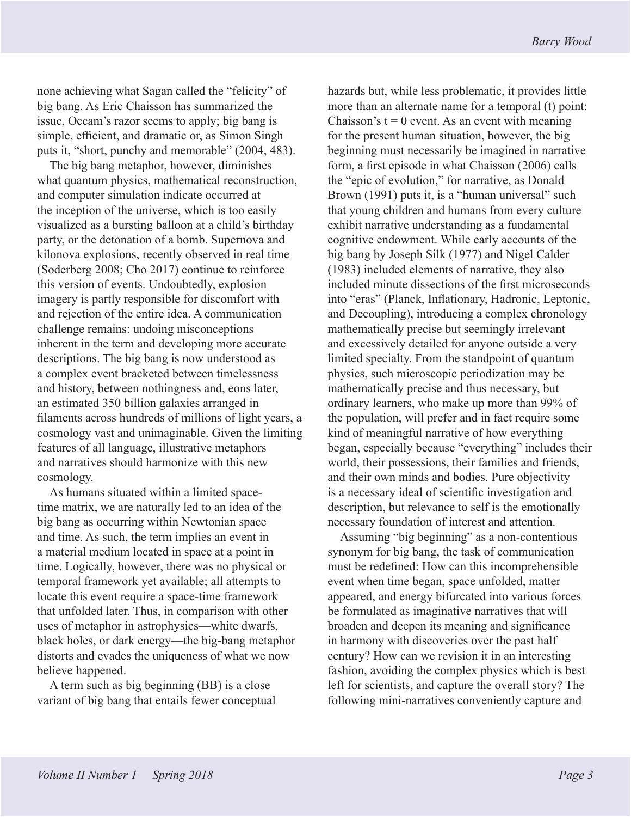none achieving what Sagan called the "felicity" of big bang. As Eric Chaisson has summarized the issue, Occam's razor seems to apply; big bang is simple, efficient, and dramatic or, as Simon Singh puts it, "short, punchy and memorable" (2004, 483).

The big bang metaphor, however, diminishes what quantum physics, mathematical reconstruction, and computer simulation indicate occurred at the inception of the universe, which is too easily visualized as a bursting balloon at a child's birthday party, or the detonation of a bomb. Supernova and kilonova explosions, recently observed in real time (Soderberg 2008; Cho 2017) continue to reinforce this version of events. Undoubtedly, explosion imagery is partly responsible for discomfort with and rejection of the entire idea. A communication challenge remains: undoing misconceptions inherent in the term and developing more accurate descriptions. The big bang is now understood as a complex event bracketed between timelessness and history, between nothingness and, eons later, an estimated 350 billion galaxies arranged in filaments across hundreds of millions of light years, a cosmology vast and unimaginable. Given the limiting features of all language, illustrative metaphors and narratives should harmonize with this new cosmology.

As humans situated within a limited spacetime matrix, we are naturally led to an idea of the big bang as occurring within Newtonian space and time. As such, the term implies an event in a material medium located in space at a point in time. Logically, however, there was no physical or temporal framework yet available; all attempts to locate this event require a space-time framework that unfolded later. Thus, in comparison with other uses of metaphor in astrophysics—white dwarfs, black holes, or dark energy—the big-bang metaphor distorts and evades the uniqueness of what we now believe happened.

A term such as big beginning (BB) is a close variant of big bang that entails fewer conceptual hazards but, while less problematic, it provides little more than an alternate name for a temporal (t) point: Chaisson's  $t = 0$  event. As an event with meaning for the present human situation, however, the big beginning must necessarily be imagined in narrative form, a first episode in what Chaisson (2006) calls the "epic of evolution," for narrative, as Donald Brown (1991) puts it, is a "human universal" such that young children and humans from every culture exhibit narrative understanding as a fundamental cognitive endowment. While early accounts of the big bang by Joseph Silk (1977) and Nigel Calder (1983) included elements of narrative, they also included minute dissections of the first microseconds into "eras" (Planck, Inflationary, Hadronic, Leptonic, and Decoupling), introducing a complex chronology mathematically precise but seemingly irrelevant and excessively detailed for anyone outside a very limited specialty. From the standpoint of quantum physics, such microscopic periodization may be mathematically precise and thus necessary, but ordinary learners, who make up more than 99% of the population, will prefer and in fact require some kind of meaningful narrative of how everything began, especially because "everything" includes their world, their possessions, their families and friends, and their own minds and bodies. Pure objectivity is a necessary ideal of scientific investigation and description, but relevance to self is the emotionally necessary foundation of interest and attention.

Assuming "big beginning" as a non-contentious synonym for big bang, the task of communication must be redefined: How can this incomprehensible event when time began, space unfolded, matter appeared, and energy bifurcated into various forces be formulated as imaginative narratives that will broaden and deepen its meaning and significance in harmony with discoveries over the past half century? How can we revision it in an interesting fashion, avoiding the complex physics which is best left for scientists, and capture the overall story? The following mini-narratives conveniently capture and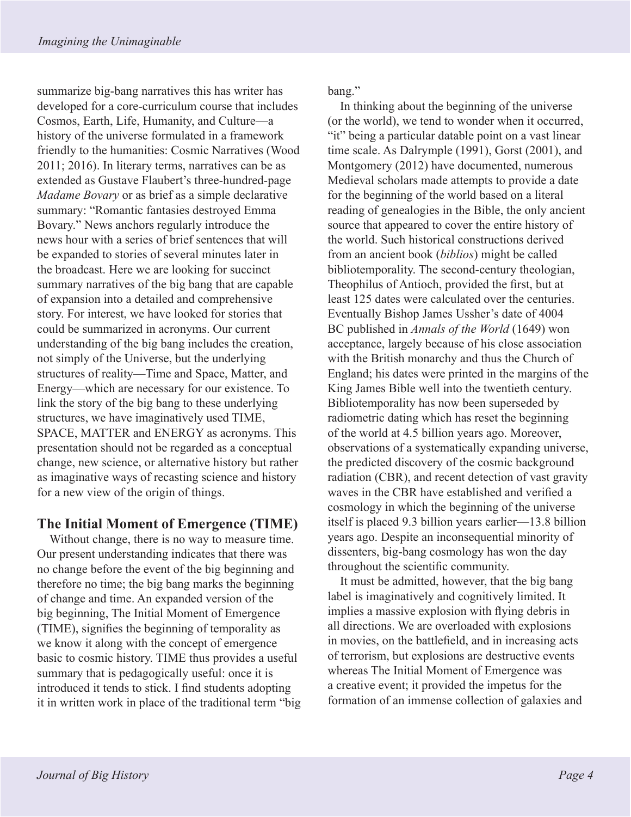summarize big-bang narratives this has writer has developed for a core-curriculum course that includes Cosmos, Earth, Life, Humanity, and Culture—a history of the universe formulated in a framework friendly to the humanities: Cosmic Narratives (Wood 2011; 2016). In literary terms, narratives can be as extended as Gustave Flaubert's three-hundred-page *Madame Bovary* or as brief as a simple declarative summary: "Romantic fantasies destroyed Emma Bovary." News anchors regularly introduce the news hour with a series of brief sentences that will be expanded to stories of several minutes later in the broadcast. Here we are looking for succinct summary narratives of the big bang that are capable of expansion into a detailed and comprehensive story. For interest, we have looked for stories that could be summarized in acronyms. Our current understanding of the big bang includes the creation, not simply of the Universe, but the underlying structures of reality—Time and Space, Matter, and Energy—which are necessary for our existence. To link the story of the big bang to these underlying structures, we have imaginatively used TIME, SPACE, MATTER and ENERGY as acronyms. This presentation should not be regarded as a conceptual change, new science, or alternative history but rather as imaginative ways of recasting science and history for a new view of the origin of things.

# **The Initial Moment of Emergence (TIME)**

Without change, there is no way to measure time. Our present understanding indicates that there was no change before the event of the big beginning and therefore no time; the big bang marks the beginning of change and time. An expanded version of the big beginning, The Initial Moment of Emergence (TIME), signifies the beginning of temporality as we know it along with the concept of emergence basic to cosmic history. TIME thus provides a useful summary that is pedagogically useful: once it is introduced it tends to stick. I find students adopting it in written work in place of the traditional term "big bang."

In thinking about the beginning of the universe (or the world), we tend to wonder when it occurred, "it" being a particular datable point on a vast linear time scale. As Dalrymple (1991), Gorst (2001), and Montgomery (2012) have documented, numerous Medieval scholars made attempts to provide a date for the beginning of the world based on a literal reading of genealogies in the Bible, the only ancient source that appeared to cover the entire history of the world. Such historical constructions derived from an ancient book (*biblios*) might be called bibliotemporality. The second-century theologian, Theophilus of Antioch, provided the first, but at least 125 dates were calculated over the centuries. Eventually Bishop James Ussher's date of 4004 BC published in *Annals of the World* (1649) won acceptance, largely because of his close association with the British monarchy and thus the Church of England; his dates were printed in the margins of the King James Bible well into the twentieth century. Bibliotemporality has now been superseded by radiometric dating which has reset the beginning of the world at 4.5 billion years ago. Moreover, observations of a systematically expanding universe, the predicted discovery of the cosmic background radiation (CBR), and recent detection of vast gravity waves in the CBR have established and verified a cosmology in which the beginning of the universe itself is placed 9.3 billion years earlier—13.8 billion years ago. Despite an inconsequential minority of dissenters, big-bang cosmology has won the day throughout the scientific community.

It must be admitted, however, that the big bang label is imaginatively and cognitively limited. It implies a massive explosion with flying debris in all directions. We are overloaded with explosions in movies, on the battlefield, and in increasing acts of terrorism, but explosions are destructive events whereas The Initial Moment of Emergence was a creative event; it provided the impetus for the formation of an immense collection of galaxies and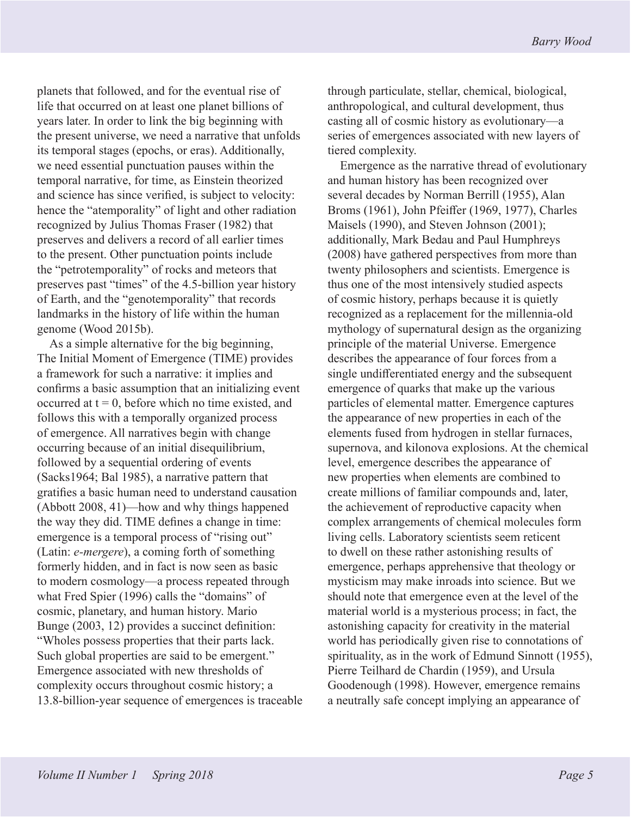planets that followed, and for the eventual rise of life that occurred on at least one planet billions of years later. In order to link the big beginning with the present universe, we need a narrative that unfolds its temporal stages (epochs, or eras). Additionally, we need essential punctuation pauses within the temporal narrative, for time, as Einstein theorized and science has since verified, is subject to velocity: hence the "atemporality" of light and other radiation recognized by Julius Thomas Fraser (1982) that preserves and delivers a record of all earlier times to the present. Other punctuation points include the "petrotemporality" of rocks and meteors that preserves past "times" of the 4.5-billion year history of Earth, and the "genotemporality" that records landmarks in the history of life within the human genome (Wood 2015b).

As a simple alternative for the big beginning, The Initial Moment of Emergence (TIME) provides a framework for such a narrative: it implies and confirms a basic assumption that an initializing event occurred at  $t = 0$ , before which no time existed, and follows this with a temporally organized process of emergence. All narratives begin with change occurring because of an initial disequilibrium, followed by a sequential ordering of events (Sacks1964; Bal 1985), a narrative pattern that gratifies a basic human need to understand causation (Abbott 2008, 41)—how and why things happened the way they did. TIME defines a change in time: emergence is a temporal process of "rising out" (Latin: *e-mergere*), a coming forth of something formerly hidden, and in fact is now seen as basic to modern cosmology—a process repeated through what Fred Spier (1996) calls the "domains" of cosmic, planetary, and human history. Mario Bunge (2003, 12) provides a succinct definition: "Wholes possess properties that their parts lack. Such global properties are said to be emergent." Emergence associated with new thresholds of complexity occurs throughout cosmic history; a 13.8-billion-year sequence of emergences is traceable through particulate, stellar, chemical, biological, anthropological, and cultural development, thus casting all of cosmic history as evolutionary—a series of emergences associated with new layers of tiered complexity.

Emergence as the narrative thread of evolutionary and human history has been recognized over several decades by Norman Berrill (1955), Alan Broms (1961), John Pfeiffer (1969, 1977), Charles Maisels (1990), and Steven Johnson (2001); additionally, Mark Bedau and Paul Humphreys (2008) have gathered perspectives from more than twenty philosophers and scientists. Emergence is thus one of the most intensively studied aspects of cosmic history, perhaps because it is quietly recognized as a replacement for the millennia-old mythology of supernatural design as the organizing principle of the material Universe. Emergence describes the appearance of four forces from a single undifferentiated energy and the subsequent emergence of quarks that make up the various particles of elemental matter. Emergence captures the appearance of new properties in each of the elements fused from hydrogen in stellar furnaces, supernova, and kilonova explosions. At the chemical level, emergence describes the appearance of new properties when elements are combined to create millions of familiar compounds and, later, the achievement of reproductive capacity when complex arrangements of chemical molecules form living cells. Laboratory scientists seem reticent to dwell on these rather astonishing results of emergence, perhaps apprehensive that theology or mysticism may make inroads into science. But we should note that emergence even at the level of the material world is a mysterious process; in fact, the astonishing capacity for creativity in the material world has periodically given rise to connotations of spirituality, as in the work of Edmund Sinnott (1955), Pierre Teilhard de Chardin (1959), and Ursula Goodenough (1998). However, emergence remains a neutrally safe concept implying an appearance of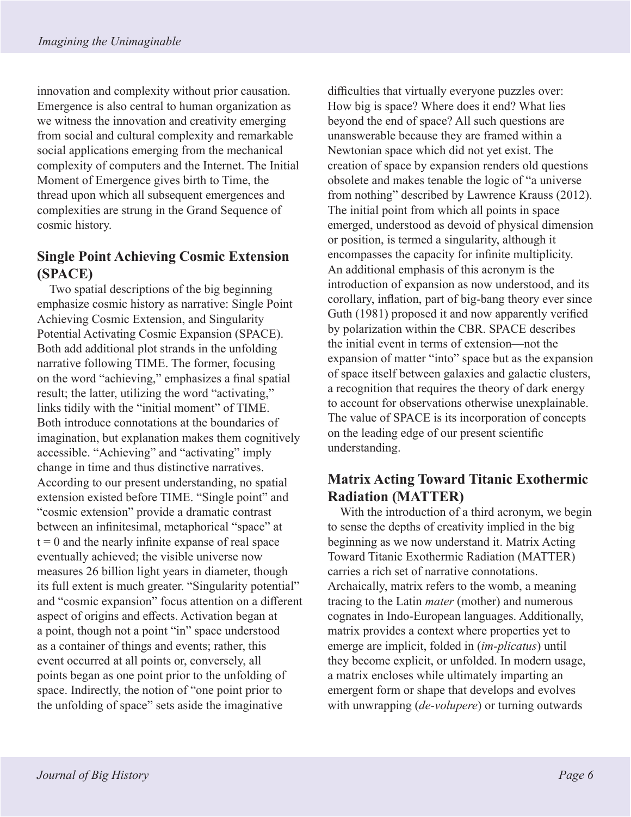innovation and complexity without prior causation. Emergence is also central to human organization as we witness the innovation and creativity emerging from social and cultural complexity and remarkable social applications emerging from the mechanical complexity of computers and the Internet. The Initial Moment of Emergence gives birth to Time, the thread upon which all subsequent emergences and complexities are strung in the Grand Sequence of cosmic history.

## **Single Point Achieving Cosmic Extension (SPACE)**

Two spatial descriptions of the big beginning emphasize cosmic history as narrative: Single Point Achieving Cosmic Extension, and Singularity Potential Activating Cosmic Expansion (SPACE). Both add additional plot strands in the unfolding narrative following TIME. The former, focusing on the word "achieving," emphasizes a final spatial result; the latter, utilizing the word "activating," links tidily with the "initial moment" of TIME. Both introduce connotations at the boundaries of imagination, but explanation makes them cognitively accessible. "Achieving" and "activating" imply change in time and thus distinctive narratives. According to our present understanding, no spatial extension existed before TIME. "Single point" and "cosmic extension" provide a dramatic contrast between an infinitesimal, metaphorical "space" at  $t = 0$  and the nearly infinite expanse of real space eventually achieved; the visible universe now measures 26 billion light years in diameter, though its full extent is much greater. "Singularity potential" and "cosmic expansion" focus attention on a different aspect of origins and effects. Activation began at a point, though not a point "in" space understood as a container of things and events; rather, this event occurred at all points or, conversely, all points began as one point prior to the unfolding of space. Indirectly, the notion of "one point prior to the unfolding of space" sets aside the imaginative

difficulties that virtually everyone puzzles over: How big is space? Where does it end? What lies beyond the end of space? All such questions are unanswerable because they are framed within a Newtonian space which did not yet exist. The creation of space by expansion renders old questions obsolete and makes tenable the logic of "a universe from nothing" described by Lawrence Krauss (2012). The initial point from which all points in space emerged, understood as devoid of physical dimension or position, is termed a singularity, although it encompasses the capacity for infinite multiplicity. An additional emphasis of this acronym is the introduction of expansion as now understood, and its corollary, inflation, part of big-bang theory ever since Guth (1981) proposed it and now apparently verified by polarization within the CBR. SPACE describes the initial event in terms of extension—not the expansion of matter "into" space but as the expansion of space itself between galaxies and galactic clusters, a recognition that requires the theory of dark energy to account for observations otherwise unexplainable. The value of SPACE is its incorporation of concepts on the leading edge of our present scientific understanding.

# **Matrix Acting Toward Titanic Exothermic Radiation (MATTER)**

With the introduction of a third acronym, we begin to sense the depths of creativity implied in the big beginning as we now understand it. Matrix Acting Toward Titanic Exothermic Radiation (MATTER) carries a rich set of narrative connotations. Archaically, matrix refers to the womb, a meaning tracing to the Latin *mater* (mother) and numerous cognates in Indo-European languages. Additionally, matrix provides a context where properties yet to emerge are implicit, folded in (*im-plicatus*) until they become explicit, or unfolded. In modern usage, a matrix encloses while ultimately imparting an emergent form or shape that develops and evolves with unwrapping (*de-volupere*) or turning outwards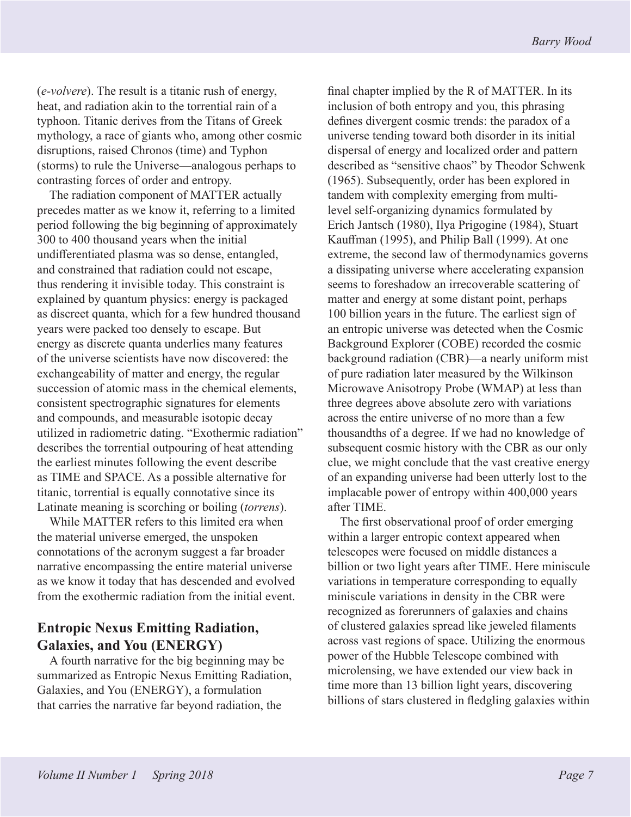(*e-volvere*). The result is a titanic rush of energy, heat, and radiation akin to the torrential rain of a typhoon. Titanic derives from the Titans of Greek mythology, a race of giants who, among other cosmic disruptions, raised Chronos (time) and Typhon (storms) to rule the Universe—analogous perhaps to contrasting forces of order and entropy.

The radiation component of MATTER actually precedes matter as we know it, referring to a limited period following the big beginning of approximately 300 to 400 thousand years when the initial undifferentiated plasma was so dense, entangled, and constrained that radiation could not escape, thus rendering it invisible today. This constraint is explained by quantum physics: energy is packaged as discreet quanta, which for a few hundred thousand years were packed too densely to escape. But energy as discrete quanta underlies many features of the universe scientists have now discovered: the exchangeability of matter and energy, the regular succession of atomic mass in the chemical elements, consistent spectrographic signatures for elements and compounds, and measurable isotopic decay utilized in radiometric dating. "Exothermic radiation" describes the torrential outpouring of heat attending the earliest minutes following the event describe as TIME and SPACE. As a possible alternative for titanic, torrential is equally connotative since its Latinate meaning is scorching or boiling (*torrens*).

While MATTER refers to this limited era when the material universe emerged, the unspoken connotations of the acronym suggest a far broader narrative encompassing the entire material universe as we know it today that has descended and evolved from the exothermic radiation from the initial event.

### **Entropic Nexus Emitting Radiation, Galaxies, and You (ENERGY)**

A fourth narrative for the big beginning may be summarized as Entropic Nexus Emitting Radiation, Galaxies, and You (ENERGY), a formulation that carries the narrative far beyond radiation, the

final chapter implied by the R of MATTER. In its inclusion of both entropy and you, this phrasing defines divergent cosmic trends: the paradox of a universe tending toward both disorder in its initial dispersal of energy and localized order and pattern described as "sensitive chaos" by Theodor Schwenk (1965). Subsequently, order has been explored in tandem with complexity emerging from multilevel self-organizing dynamics formulated by Erich Jantsch (1980), Ilya Prigogine (1984), Stuart Kauffman (1995), and Philip Ball (1999). At one extreme, the second law of thermodynamics governs a dissipating universe where accelerating expansion seems to foreshadow an irrecoverable scattering of matter and energy at some distant point, perhaps 100 billion years in the future. The earliest sign of an entropic universe was detected when the Cosmic Background Explorer (COBE) recorded the cosmic background radiation (CBR)—a nearly uniform mist of pure radiation later measured by the Wilkinson Microwave Anisotropy Probe (WMAP) at less than three degrees above absolute zero with variations across the entire universe of no more than a few thousandths of a degree. If we had no knowledge of subsequent cosmic history with the CBR as our only clue, we might conclude that the vast creative energy of an expanding universe had been utterly lost to the implacable power of entropy within 400,000 years after TIME.

The first observational proof of order emerging within a larger entropic context appeared when telescopes were focused on middle distances a billion or two light years after TIME. Here miniscule variations in temperature corresponding to equally miniscule variations in density in the CBR were recognized as forerunners of galaxies and chains of clustered galaxies spread like jeweled filaments across vast regions of space. Utilizing the enormous power of the Hubble Telescope combined with microlensing, we have extended our view back in time more than 13 billion light years, discovering billions of stars clustered in fledgling galaxies within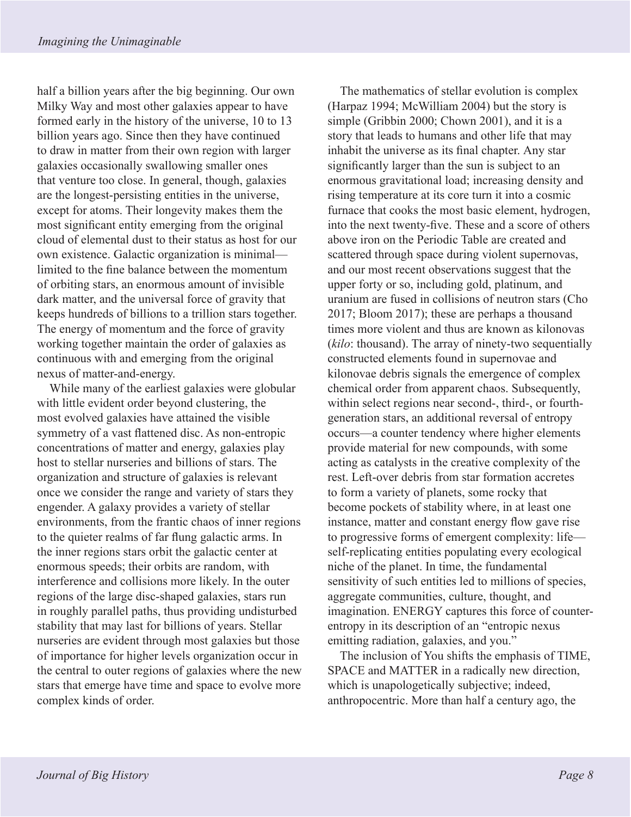half a billion years after the big beginning. Our own Milky Way and most other galaxies appear to have formed early in the history of the universe, 10 to 13 billion years ago. Since then they have continued to draw in matter from their own region with larger galaxies occasionally swallowing smaller ones that venture too close. In general, though, galaxies are the longest-persisting entities in the universe, except for atoms. Their longevity makes them the most significant entity emerging from the original cloud of elemental dust to their status as host for our own existence. Galactic organization is minimal limited to the fine balance between the momentum of orbiting stars, an enormous amount of invisible dark matter, and the universal force of gravity that keeps hundreds of billions to a trillion stars together. The energy of momentum and the force of gravity working together maintain the order of galaxies as continuous with and emerging from the original nexus of matter-and-energy.

While many of the earliest galaxies were globular with little evident order beyond clustering, the most evolved galaxies have attained the visible symmetry of a vast flattened disc. As non-entropic concentrations of matter and energy, galaxies play host to stellar nurseries and billions of stars. The organization and structure of galaxies is relevant once we consider the range and variety of stars they engender. A galaxy provides a variety of stellar environments, from the frantic chaos of inner regions to the quieter realms of far flung galactic arms. In the inner regions stars orbit the galactic center at enormous speeds; their orbits are random, with interference and collisions more likely. In the outer regions of the large disc-shaped galaxies, stars run in roughly parallel paths, thus providing undisturbed stability that may last for billions of years. Stellar nurseries are evident through most galaxies but those of importance for higher levels organization occur in the central to outer regions of galaxies where the new stars that emerge have time and space to evolve more complex kinds of order.

The mathematics of stellar evolution is complex (Harpaz 1994; McWilliam 2004) but the story is simple (Gribbin 2000; Chown 2001), and it is a story that leads to humans and other life that may inhabit the universe as its final chapter. Any star significantly larger than the sun is subject to an enormous gravitational load; increasing density and rising temperature at its core turn it into a cosmic furnace that cooks the most basic element, hydrogen, into the next twenty-five. These and a score of others above iron on the Periodic Table are created and scattered through space during violent supernovas, and our most recent observations suggest that the upper forty or so, including gold, platinum, and uranium are fused in collisions of neutron stars (Cho 2017; Bloom 2017); these are perhaps a thousand times more violent and thus are known as kilonovas (*kilo*: thousand). The array of ninety-two sequentially constructed elements found in supernovae and kilonovae debris signals the emergence of complex chemical order from apparent chaos. Subsequently, within select regions near second-, third-, or fourthgeneration stars, an additional reversal of entropy occurs—a counter tendency where higher elements provide material for new compounds, with some acting as catalysts in the creative complexity of the rest. Left-over debris from star formation accretes to form a variety of planets, some rocky that become pockets of stability where, in at least one instance, matter and constant energy flow gave rise to progressive forms of emergent complexity: life self-replicating entities populating every ecological niche of the planet. In time, the fundamental sensitivity of such entities led to millions of species, aggregate communities, culture, thought, and imagination. ENERGY captures this force of counterentropy in its description of an "entropic nexus emitting radiation, galaxies, and you."

The inclusion of You shifts the emphasis of TIME, SPACE and MATTER in a radically new direction, which is unapologetically subjective; indeed, anthropocentric. More than half a century ago, the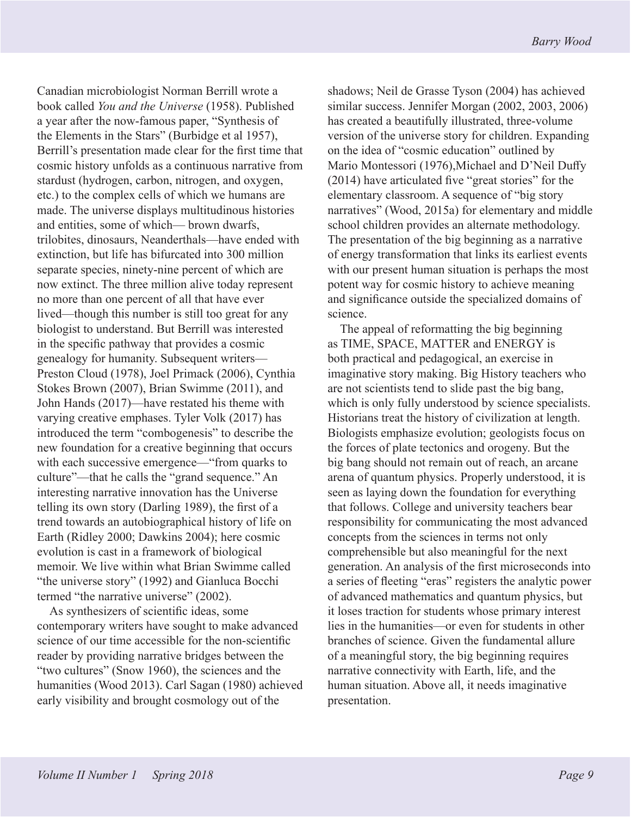Canadian microbiologist Norman Berrill wrote a book called *You and the Universe* (1958). Published a year after the now-famous paper, "Synthesis of the Elements in the Stars" (Burbidge et al 1957), Berrill's presentation made clear for the first time that cosmic history unfolds as a continuous narrative from stardust (hydrogen, carbon, nitrogen, and oxygen, etc.) to the complex cells of which we humans are made. The universe displays multitudinous histories and entities, some of which— brown dwarfs, trilobites, dinosaurs, Neanderthals—have ended with extinction, but life has bifurcated into 300 million separate species, ninety-nine percent of which are now extinct. The three million alive today represent no more than one percent of all that have ever lived—though this number is still too great for any biologist to understand. But Berrill was interested in the specific pathway that provides a cosmic genealogy for humanity. Subsequent writers— Preston Cloud (1978), Joel Primack (2006), Cynthia Stokes Brown (2007), Brian Swimme (2011), and John Hands (2017)—have restated his theme with varying creative emphases. Tyler Volk (2017) has introduced the term "combogenesis" to describe the new foundation for a creative beginning that occurs with each successive emergence—"from quarks to culture"—that he calls the "grand sequence." An interesting narrative innovation has the Universe telling its own story (Darling 1989), the first of a trend towards an autobiographical history of life on Earth (Ridley 2000; Dawkins 2004); here cosmic evolution is cast in a framework of biological memoir. We live within what Brian Swimme called "the universe story" (1992) and Gianluca Bocchi termed "the narrative universe" (2002).

As synthesizers of scientific ideas, some contemporary writers have sought to make advanced science of our time accessible for the non-scientific reader by providing narrative bridges between the "two cultures" (Snow 1960), the sciences and the humanities (Wood 2013). Carl Sagan (1980) achieved early visibility and brought cosmology out of the

shadows; Neil de Grasse Tyson (2004) has achieved similar success. Jennifer Morgan (2002, 2003, 2006) has created a beautifully illustrated, three-volume version of the universe story for children. Expanding on the idea of "cosmic education" outlined by Mario Montessori (1976),Michael and D'Neil Duffy (2014) have articulated five "great stories" for the elementary classroom. A sequence of "big story narratives" (Wood, 2015a) for elementary and middle school children provides an alternate methodology. The presentation of the big beginning as a narrative of energy transformation that links its earliest events with our present human situation is perhaps the most potent way for cosmic history to achieve meaning and significance outside the specialized domains of science.

The appeal of reformatting the big beginning as TIME, SPACE, MATTER and ENERGY is both practical and pedagogical, an exercise in imaginative story making. Big History teachers who are not scientists tend to slide past the big bang, which is only fully understood by science specialists. Historians treat the history of civilization at length. Biologists emphasize evolution; geologists focus on the forces of plate tectonics and orogeny. But the big bang should not remain out of reach, an arcane arena of quantum physics. Properly understood, it is seen as laying down the foundation for everything that follows. College and university teachers bear responsibility for communicating the most advanced concepts from the sciences in terms not only comprehensible but also meaningful for the next generation. An analysis of the first microseconds into a series of fleeting "eras" registers the analytic power of advanced mathematics and quantum physics, but it loses traction for students whose primary interest lies in the humanities—or even for students in other branches of science. Given the fundamental allure of a meaningful story, the big beginning requires narrative connectivity with Earth, life, and the human situation. Above all, it needs imaginative presentation.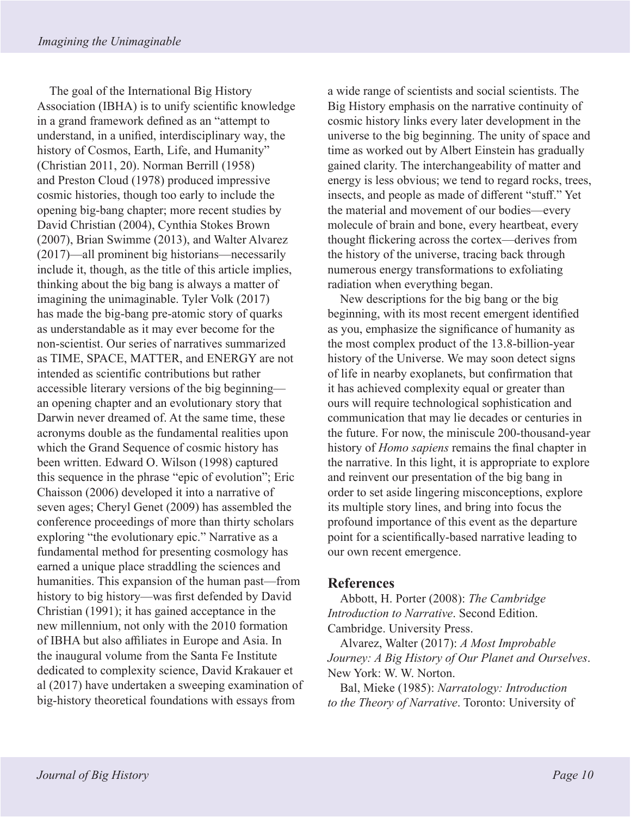The goal of the International Big History Association (IBHA) is to unify scientific knowledge in a grand framework defined as an "attempt to understand, in a unified, interdisciplinary way, the history of Cosmos, Earth, Life, and Humanity" (Christian 2011, 20). Norman Berrill (1958) and Preston Cloud (1978) produced impressive cosmic histories, though too early to include the opening big-bang chapter; more recent studies by David Christian (2004), Cynthia Stokes Brown (2007), Brian Swimme (2013), and Walter Alvarez (2017)—all prominent big historians—necessarily include it, though, as the title of this article implies, thinking about the big bang is always a matter of imagining the unimaginable. Tyler Volk (2017) has made the big-bang pre-atomic story of quarks as understandable as it may ever become for the non-scientist. Our series of narratives summarized as TIME, SPACE, MATTER, and ENERGY are not intended as scientific contributions but rather accessible literary versions of the big beginning an opening chapter and an evolutionary story that Darwin never dreamed of. At the same time, these acronyms double as the fundamental realities upon which the Grand Sequence of cosmic history has been written. Edward O. Wilson (1998) captured this sequence in the phrase "epic of evolution"; Eric Chaisson (2006) developed it into a narrative of seven ages; Cheryl Genet (2009) has assembled the conference proceedings of more than thirty scholars exploring "the evolutionary epic." Narrative as a fundamental method for presenting cosmology has earned a unique place straddling the sciences and humanities. This expansion of the human past—from history to big history—was first defended by David Christian (1991); it has gained acceptance in the new millennium, not only with the 2010 formation of IBHA but also affiliates in Europe and Asia. In the inaugural volume from the Santa Fe Institute dedicated to complexity science, David Krakauer et al (2017) have undertaken a sweeping examination of big-history theoretical foundations with essays from

a wide range of scientists and social scientists. The Big History emphasis on the narrative continuity of cosmic history links every later development in the universe to the big beginning. The unity of space and time as worked out by Albert Einstein has gradually gained clarity. The interchangeability of matter and energy is less obvious; we tend to regard rocks, trees, insects, and people as made of different "stuff." Yet the material and movement of our bodies—every molecule of brain and bone, every heartbeat, every thought flickering across the cortex—derives from the history of the universe, tracing back through numerous energy transformations to exfoliating radiation when everything began.

New descriptions for the big bang or the big beginning, with its most recent emergent identified as you, emphasize the significance of humanity as the most complex product of the 13.8-billion-year history of the Universe. We may soon detect signs of life in nearby exoplanets, but confirmation that it has achieved complexity equal or greater than ours will require technological sophistication and communication that may lie decades or centuries in the future. For now, the miniscule 200-thousand-year history of *Homo sapiens* remains the final chapter in the narrative. In this light, it is appropriate to explore and reinvent our presentation of the big bang in order to set aside lingering misconceptions, explore its multiple story lines, and bring into focus the profound importance of this event as the departure point for a scientifically-based narrative leading to our own recent emergence.

#### **References**

Abbott, H. Porter (2008): *The Cambridge Introduction to Narrative*. Second Edition. Cambridge. University Press.

Alvarez, Walter (2017): *A Most Improbable Journey: A Big History of Our Planet and Ourselves*. New York: W. W. Norton.

Bal, Mieke (1985): *Narratology: Introduction to the Theory of Narrative*. Toronto: University of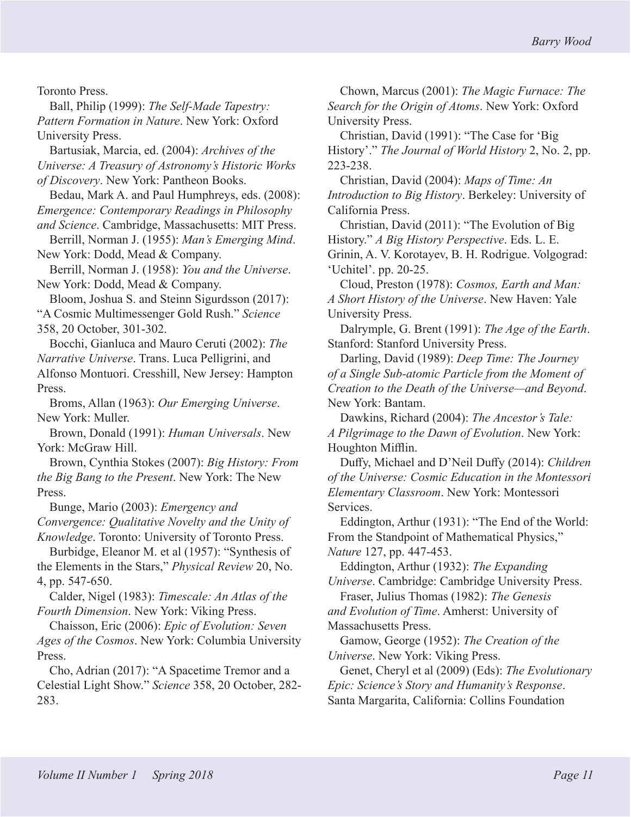Toronto Press.

Ball, Philip (1999): *The Self-Made Tapestry: Pattern Formation in Nature*. New York: Oxford University Press.

Bartusiak, Marcia, ed. (2004): *Archives of the Universe: A Treasury of Astronomy's Historic Works of Discovery*. New York: Pantheon Books.

Bedau, Mark A. and Paul Humphreys, eds. (2008): *Emergence: Contemporary Readings in Philosophy and Science*. Cambridge, Massachusetts: MIT Press.

Berrill, Norman J. (1955): *Man's Emerging Mind*. New York: Dodd, Mead & Company.

Berrill, Norman J. (1958): *You and the Universe*. New York: Dodd, Mead & Company.

Bloom, Joshua S. and Steinn Sigurdsson (2017): "A Cosmic Multimessenger Gold Rush." *Science* 358, 20 October, 301-302.

Bocchi, Gianluca and Mauro Ceruti (2002): *The Narrative Universe*. Trans. Luca Pelligrini, and Alfonso Montuori. Cresshill, New Jersey: Hampton Press.

Broms, Allan (1963): *Our Emerging Universe*. New York: Muller.

Brown, Donald (1991): *Human Universals*. New York: McGraw Hill.

Brown, Cynthia Stokes (2007): *Big History: From the Big Bang to the Present*. New York: The New Press.

Bunge, Mario (2003): *Emergency and Convergence: Qualitative Novelty and the Unity of Knowledge*. Toronto: University of Toronto Press.

Burbidge, Eleanor M. et al (1957): "Synthesis of the Elements in the Stars," *Physical Review* 20, No. 4, pp. 547-650.

Calder, Nigel (1983): *Timescale: An Atlas of the Fourth Dimension*. New York: Viking Press.

Chaisson, Eric (2006): *Epic of Evolution: Seven Ages of the Cosmos*. New York: Columbia University Press.

Cho, Adrian (2017): "A Spacetime Tremor and a Celestial Light Show." *Science* 358, 20 October, 282- 283.

Chown, Marcus (2001): *The Magic Furnace: The Search for the Origin of Atoms*. New York: Oxford University Press.

Christian, David (1991): "The Case for 'Big History'." *The Journal of World History* 2, No. 2, pp. 223-238.

Christian, David (2004): *Maps of Time: An Introduction to Big History*. Berkeley: University of California Press.

Christian, David (2011): "The Evolution of Big History." *A Big History Perspective*. Eds. L. E. Grinin, A. V. Korotayev, B. H. Rodrigue. Volgograd: 'Uchitel'. pp. 20-25.

Cloud, Preston (1978): *Cosmos, Earth and Man: A Short History of the Universe*. New Haven: Yale University Press.

Dalrymple, G. Brent (1991): *The Age of the Earth*. Stanford: Stanford University Press.

Darling, David (1989): *Deep Time: The Journey of a Single Sub-atomic Particle from the Moment of Creation to the Death of the Universe—and Beyond*. New York: Bantam.

Dawkins, Richard (2004): *The Ancestor's Tale: A Pilgrimage to the Dawn of Evolution*. New York: Houghton Mifflin.

Duffy, Michael and D'Neil Duffy (2014): *Children of the Universe: Cosmic Education in the Montessori Elementary Classroom*. New York: Montessori Services.

Eddington, Arthur (1931): "The End of the World: From the Standpoint of Mathematical Physics," *Nature* 127, pp. 447-453.

Eddington, Arthur (1932): *The Expanding Universe*. Cambridge: Cambridge University Press.

Fraser, Julius Thomas (1982): *The Genesis and Evolution of Time*. Amherst: University of Massachusetts Press.

Gamow, George (1952): *The Creation of the Universe*. New York: Viking Press.

Genet, Cheryl et al (2009) (Eds): *The Evolutionary Epic: Science's Story and Humanity's Response*. Santa Margarita, California: Collins Foundation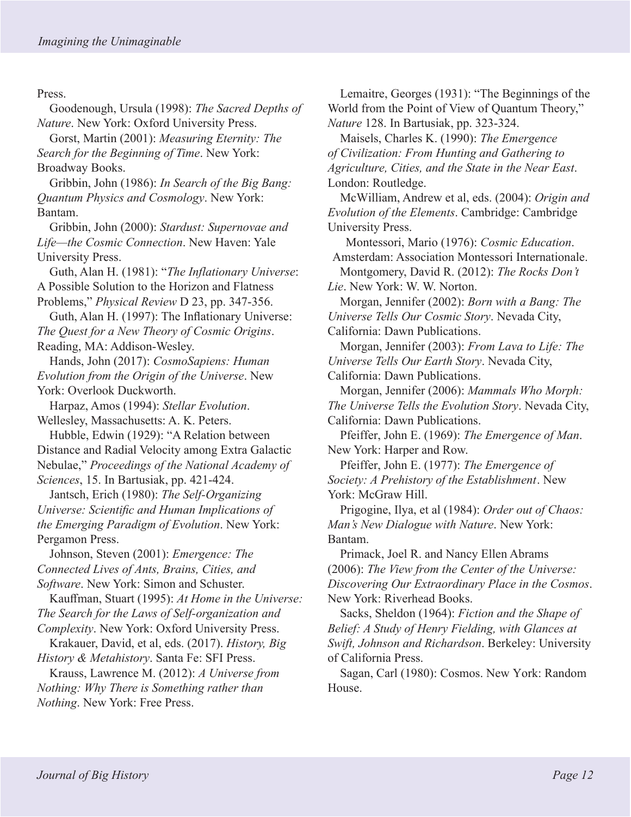Press.

Goodenough, Ursula (1998): *The Sacred Depths of Nature*. New York: Oxford University Press.

Gorst, Martin (2001): *Measuring Eternity: The Search for the Beginning of Time*. New York: Broadway Books.

Gribbin, John (1986): *In Search of the Big Bang: Quantum Physics and Cosmology*. New York: Bantam.

Gribbin, John (2000): *Stardust: Supernovae and Life—the Cosmic Connection*. New Haven: Yale University Press.

Guth, Alan H. (1981): "*The Inflationary Universe*: A Possible Solution to the Horizon and Flatness Problems," *Physical Review* D 23, pp. 347-356.

Guth, Alan H. (1997): The Inflationary Universe: *The Quest for a New Theory of Cosmic Origins*. Reading, MA: Addison-Wesley.

Hands, John (2017): *CosmoSapiens: Human Evolution from the Origin of the Universe*. New York: Overlook Duckworth.

Harpaz, Amos (1994): *Stellar Evolution*. Wellesley, Massachusetts: A. K. Peters.

Hubble, Edwin (1929): "A Relation between Distance and Radial Velocity among Extra Galactic Nebulae," *Proceedings of the National Academy of Sciences*, 15. In Bartusiak, pp. 421-424.

Jantsch, Erich (1980): *The Self-Organizing Universe: Scientific and Human Implications of the Emerging Paradigm of Evolution*. New York: Pergamon Press.

Johnson, Steven (2001): *Emergence: The Connected Lives of Ants, Brains, Cities, and Software*. New York: Simon and Schuster.

Kauffman, Stuart (1995): *At Home in the Universe: The Search for the Laws of Self-organization and Complexity*. New York: Oxford University Press.

Krakauer, David, et al, eds. (2017). *History, Big History & Metahistory*. Santa Fe: SFI Press.

Krauss, Lawrence M. (2012): *A Universe from Nothing: Why There is Something rather than Nothing*. New York: Free Press.

Lemaitre, Georges (1931): "The Beginnings of the World from the Point of View of Quantum Theory," *Nature* 128. In Bartusiak, pp. 323-324.

Maisels, Charles K. (1990): *The Emergence of Civilization: From Hunting and Gathering to Agriculture, Cities, and the State in the Near East*. London: Routledge.

McWilliam, Andrew et al, eds. (2004): *Origin and Evolution of the Elements*. Cambridge: Cambridge University Press.

Montessori, Mario (1976): *Cosmic Education*. Amsterdam: Association Montessori Internationale. Montgomery, David R. (2012): *The Rocks Don't* 

*Lie*. New York: W. W. Norton.

Morgan, Jennifer (2002): *Born with a Bang: The Universe Tells Our Cosmic Story*. Nevada City, California: Dawn Publications.

Morgan, Jennifer (2003): *From Lava to Life: The Universe Tells Our Earth Story*. Nevada City, California: Dawn Publications.

Morgan, Jennifer (2006): *Mammals Who Morph: The Universe Tells the Evolution Story*. Nevada City, California: Dawn Publications.

Pfeiffer, John E. (1969): *The Emergence of Man*. New York: Harper and Row.

Pfeiffer, John E. (1977): *The Emergence of Society: A Prehistory of the Establishment*. New York: McGraw Hill.

Prigogine, Ilya, et al (1984): *Order out of Chaos: Man's New Dialogue with Nature*. New York: Bantam.

Primack, Joel R. and Nancy Ellen Abrams (2006): *The View from the Center of the Universe: Discovering Our Extraordinary Place in the Cosmos*. New York: Riverhead Books.

Sacks, Sheldon (1964): *Fiction and the Shape of Belief: A Study of Henry Fielding, with Glances at Swift, Johnson and Richardson*. Berkeley: University of California Press.

Sagan, Carl (1980): Cosmos. New York: Random House.